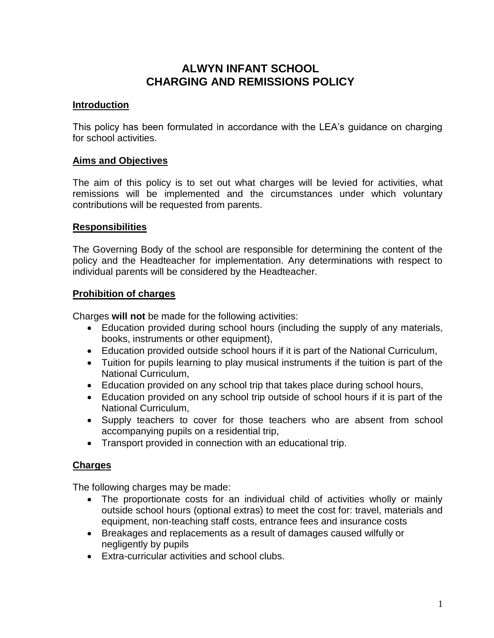# **ALWYN INFANT SCHOOL CHARGING AND REMISSIONS POLICY**

## **Introduction**

This policy has been formulated in accordance with the LEA's guidance on charging for school activities.

## **Aims and Objectives**

The aim of this policy is to set out what charges will be levied for activities, what remissions will be implemented and the circumstances under which voluntary contributions will be requested from parents.

## **Responsibilities**

The Governing Body of the school are responsible for determining the content of the policy and the Headteacher for implementation. Any determinations with respect to individual parents will be considered by the Headteacher.

#### **Prohibition of charges**

Charges **will not** be made for the following activities:

- Education provided during school hours (including the supply of any materials, books, instruments or other equipment),
- Education provided outside school hours if it is part of the National Curriculum,
- Tuition for pupils learning to play musical instruments if the tuition is part of the National Curriculum,
- Education provided on any school trip that takes place during school hours,
- Education provided on any school trip outside of school hours if it is part of the National Curriculum,
- Supply teachers to cover for those teachers who are absent from school accompanying pupils on a residential trip,
- Transport provided in connection with an educational trip.

# **Charges**

The following charges may be made:

- The proportionate costs for an individual child of activities wholly or mainly outside school hours (optional extras) to meet the cost for: travel, materials and equipment, non-teaching staff costs, entrance fees and insurance costs
- Breakages and replacements as a result of damages caused wilfully or negligently by pupils
- Extra-curricular activities and school clubs.